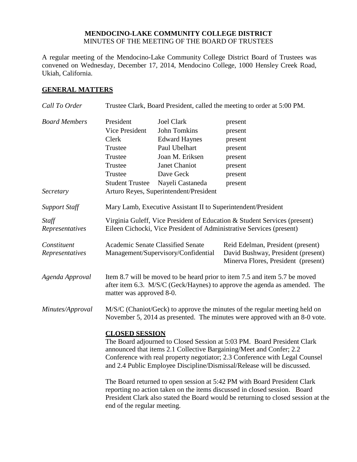#### **MENDOCINO-LAKE COMMUNITY COLLEGE DISTRICT** MINUTES OF THE MEETING OF THE BOARD OF TRUSTEES

A regular meeting of the Mendocino-Lake Community College District Board of Trustees was convened on Wednesday, December 17, 2014, Mendocino College, 1000 Hensley Creek Road, Ukiah, California.

## **GENERAL MATTERS**

| Call To Order                  | Trustee Clark, Board President, called the meeting to order at 5:00 PM.                                                                                                                                                                                                                                                           |                                                                                               |                                                                                                                |
|--------------------------------|-----------------------------------------------------------------------------------------------------------------------------------------------------------------------------------------------------------------------------------------------------------------------------------------------------------------------------------|-----------------------------------------------------------------------------------------------|----------------------------------------------------------------------------------------------------------------|
| <b>Board Members</b>           | President<br>Vice President<br>Clerk<br>Trustee<br>Trustee                                                                                                                                                                                                                                                                        | <b>Joel Clark</b><br>John Tomkins<br><b>Edward Haynes</b><br>Paul Ubelhart<br>Joan M. Eriksen | present<br>present<br>present<br>present<br>present                                                            |
|                                | Trustee                                                                                                                                                                                                                                                                                                                           | Janet Chaniot                                                                                 | present                                                                                                        |
|                                | Trustee                                                                                                                                                                                                                                                                                                                           | Dave Geck                                                                                     | present                                                                                                        |
| Secretary                      | <b>Student Trustee</b>                                                                                                                                                                                                                                                                                                            | Nayeli Castaneda<br>Arturo Reyes, Superintendent/President                                    | present                                                                                                        |
| <b>Support Staff</b>           |                                                                                                                                                                                                                                                                                                                                   | Mary Lamb, Executive Assistant II to Superintendent/President                                 |                                                                                                                |
| Staff<br>Representatives       | Virginia Guleff, Vice President of Education & Student Services (present)<br>Eileen Cichocki, Vice President of Administrative Services (present)                                                                                                                                                                                 |                                                                                               |                                                                                                                |
| Constituent<br>Representatives |                                                                                                                                                                                                                                                                                                                                   | Academic Senate Classified Senate<br>Management/Supervisory/Confidential                      | Reid Edelman, President (present)<br>David Bushway, President (present)<br>Minerva Flores, President (present) |
| Agenda Approval                | Item 8.7 will be moved to be heard prior to item 7.5 and item 5.7 be moved<br>after item 6.3. M/S/C (Geck/Haynes) to approve the agenda as amended. The<br>matter was approved 8-0.                                                                                                                                               |                                                                                               |                                                                                                                |
| Minutes/Approval               | M/S/C (Chaniot/Geck) to approve the minutes of the regular meeting held on<br>November 5, 2014 as presented. The minutes were approved with an 8-0 vote.                                                                                                                                                                          |                                                                                               |                                                                                                                |
|                                | <b>CLOSED SESSION</b><br>The Board adjourned to Closed Session at 5:03 PM. Board President Clark<br>announced that items 2.1 Collective Bargaining/Meet and Confer; 2.2<br>Conference with real property negotiator; 2.3 Conference with Legal Counsel<br>and 2.4 Public Employee Discipline/Dismissal/Release will be discussed. |                                                                                               |                                                                                                                |
|                                | The Board returned to open session at 5:42 PM with Board President Clark<br>reporting no action taken on the items discussed in closed session. Board<br>President Clark also stated the Board would be returning to closed session at the<br>end of the regular meeting.                                                         |                                                                                               |                                                                                                                |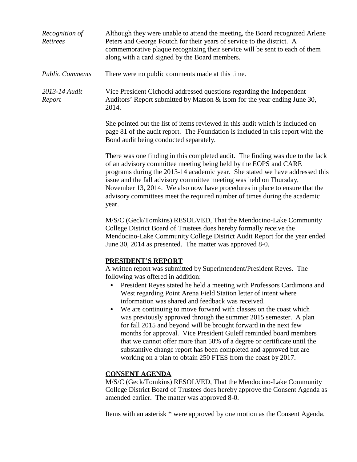| Recognition of<br>Retirees | Although they were unable to attend the meeting, the Board recognized Arlene<br>Peters and George Foutch for their years of service to the district. A<br>commemorative plaque recognizing their service will be sent to each of them<br>along with a card signed by the Board members.                                                                                                                                                                                                                                                                                                                                                                                                                                                                                                                                                            |
|----------------------------|----------------------------------------------------------------------------------------------------------------------------------------------------------------------------------------------------------------------------------------------------------------------------------------------------------------------------------------------------------------------------------------------------------------------------------------------------------------------------------------------------------------------------------------------------------------------------------------------------------------------------------------------------------------------------------------------------------------------------------------------------------------------------------------------------------------------------------------------------|
| <b>Public Comments</b>     | There were no public comments made at this time.                                                                                                                                                                                                                                                                                                                                                                                                                                                                                                                                                                                                                                                                                                                                                                                                   |
| 2013-14 Audit<br>Report    | Vice President Cichocki addressed questions regarding the Independent<br>Auditors' Report submitted by Matson & Isom for the year ending June 30,<br>2014.                                                                                                                                                                                                                                                                                                                                                                                                                                                                                                                                                                                                                                                                                         |
|                            | She pointed out the list of items reviewed in this audit which is included on<br>page 81 of the audit report. The Foundation is included in this report with the<br>Bond audit being conducted separately.                                                                                                                                                                                                                                                                                                                                                                                                                                                                                                                                                                                                                                         |
|                            | There was one finding in this completed audit. The finding was due to the lack<br>of an advisory committee meeting being held by the EOPS and CARE<br>programs during the 2013-14 academic year. She stated we have addressed this<br>issue and the fall advisory committee meeting was held on Thursday,<br>November 13, 2014. We also now have procedures in place to ensure that the<br>advisory committees meet the required number of times during the academic<br>year.                                                                                                                                                                                                                                                                                                                                                                      |
|                            | M/S/C (Geck/Tomkins) RESOLVED, That the Mendocino-Lake Community<br>College District Board of Trustees does hereby formally receive the<br>Mendocino-Lake Community College District Audit Report for the year ended<br>June 30, 2014 as presented. The matter was approved 8-0.                                                                                                                                                                                                                                                                                                                                                                                                                                                                                                                                                                   |
|                            | PRESIDENT'S REPORT<br>A written report was submitted by Superintendent/President Reyes. The<br>following was offered in addition:<br>President Reyes stated he held a meeting with Professors Cardimona and<br>West regarding Point Arena Field Station letter of intent where<br>information was shared and feedback was received.<br>We are continuing to move forward with classes on the coast which<br>$\bullet$<br>was previously approved through the summer 2015 semester. A plan<br>for fall 2015 and beyond will be brought forward in the next few<br>months for approval. Vice President Guleff reminded board members<br>that we cannot offer more than 50% of a degree or certificate until the<br>substantive change report has been completed and approved but are<br>working on a plan to obtain 250 FTES from the coast by 2017. |
|                            | <b>CONSENT AGENDA</b><br>M/S/C (Geck/Tomkins) RESOLVED, That the Mendocino-Lake Community                                                                                                                                                                                                                                                                                                                                                                                                                                                                                                                                                                                                                                                                                                                                                          |

College District Board of Trustees does hereby approve the Consent Agenda as amended earlier. The matter was approved 8-0.

Items with an asterisk \* were approved by one motion as the Consent Agenda.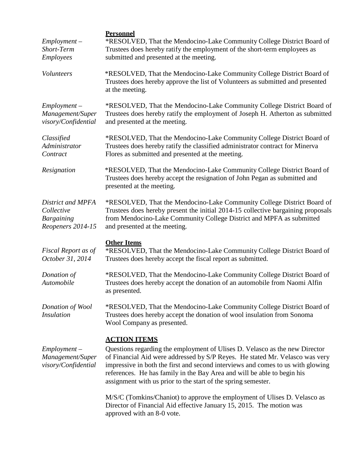| $Employment -$<br>Short-Term<br>Employees                                 | <b>Personnel</b><br>*RESOLVED, That the Mendocino-Lake Community College District Board of<br>Trustees does hereby ratify the employment of the short-term employees as<br>submitted and presented at the meeting.                                                                                                                                                                                                |
|---------------------------------------------------------------------------|-------------------------------------------------------------------------------------------------------------------------------------------------------------------------------------------------------------------------------------------------------------------------------------------------------------------------------------------------------------------------------------------------------------------|
| Volunteers                                                                | *RESOLVED, That the Mendocino-Lake Community College District Board of<br>Trustees does hereby approve the list of Volunteers as submitted and presented<br>at the meeting.                                                                                                                                                                                                                                       |
| $Employment -$<br>Management/Super<br>visory/Confidential                 | *RESOLVED, That the Mendocino-Lake Community College District Board of<br>Trustees does hereby ratify the employment of Joseph H. Atherton as submitted<br>and presented at the meeting.                                                                                                                                                                                                                          |
| Classified<br>Administrator<br>Contract                                   | *RESOLVED, That the Mendocino-Lake Community College District Board of<br>Trustees does hereby ratify the classified administrator contract for Minerva<br>Flores as submitted and presented at the meeting.                                                                                                                                                                                                      |
| Resignation                                                               | *RESOLVED, That the Mendocino-Lake Community College District Board of<br>Trustees does hereby accept the resignation of John Pegan as submitted and<br>presented at the meeting.                                                                                                                                                                                                                                 |
| District and MPFA<br>Collective<br><b>Bargaining</b><br>Reopeners 2014-15 | *RESOLVED, That the Mendocino-Lake Community College District Board of<br>Trustees does hereby present the initial 2014-15 collective bargaining proposals<br>from Mendocino-Lake Community College District and MPFA as submitted<br>and presented at the meeting.                                                                                                                                               |
| Fiscal Report as of<br>October 31, 2014                                   | <b>Other Items</b><br>*RESOLVED, That the Mendocino-Lake Community College District Board of<br>Trustees does hereby accept the fiscal report as submitted.                                                                                                                                                                                                                                                       |
| Donation of<br>Automobile                                                 | *RESOLVED, That the Mendocino-Lake Community College District Board of<br>Trustees does hereby accept the donation of an automobile from Naomi Alfin<br>as presented.                                                                                                                                                                                                                                             |
| Donation of Wool<br><i>Insulation</i>                                     | *RESOLVED, That the Mendocino-Lake Community College District Board of<br>Trustees does hereby accept the donation of wool insulation from Sonoma<br>Wool Company as presented.                                                                                                                                                                                                                                   |
| $Employment -$<br>Management/Super<br>visory/Confidential                 | <b>ACTION ITEMS</b><br>Questions regarding the employment of Ulises D. Velasco as the new Director<br>of Financial Aid were addressed by S/P Reyes. He stated Mr. Velasco was very<br>impressive in both the first and second interviews and comes to us with glowing<br>references. He has family in the Bay Area and will be able to begin his<br>assignment with us prior to the start of the spring semester. |
|                                                                           | M/S/C (Tomkins/Chaniot) to approve the employment of Ulises D. Velasco as<br>Director of Financial Aid effective January 15, 2015. The motion was<br>approved with an 8-0 vote.                                                                                                                                                                                                                                   |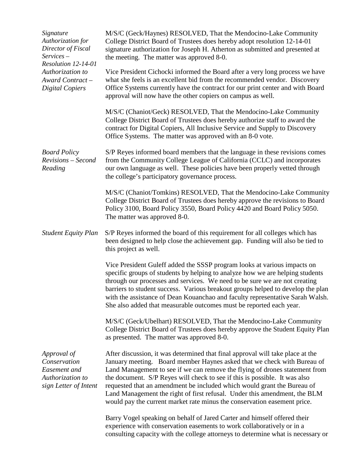| Signature<br>Authorization for<br>Director of Fiscal<br>$S$ ervices $-$<br>Resolution 12-14-01<br>Authorization to<br>Award Contract-<br><b>Digital Copiers</b> | M/S/C (Geck/Haynes) RESOLVED, That the Mendocino-Lake Community<br>College District Board of Trustees does hereby adopt resolution 12-14-01<br>signature authorization for Joseph H. Atherton as submitted and presented at<br>the meeting. The matter was approved 8-0.                                                                                                                                                                                                                                                                                   |
|-----------------------------------------------------------------------------------------------------------------------------------------------------------------|------------------------------------------------------------------------------------------------------------------------------------------------------------------------------------------------------------------------------------------------------------------------------------------------------------------------------------------------------------------------------------------------------------------------------------------------------------------------------------------------------------------------------------------------------------|
|                                                                                                                                                                 | Vice President Cichocki informed the Board after a very long process we have<br>what she feels is an excellent bid from the recommended vendor. Discovery<br>Office Systems currently have the contract for our print center and with Board<br>approval will now have the other copiers on campus as well.                                                                                                                                                                                                                                                 |
|                                                                                                                                                                 | M/S/C (Chaniot/Geck) RESOLVED, That the Mendocino-Lake Community<br>College District Board of Trustees does hereby authorize staff to award the<br>contract for Digital Copiers, All Inclusive Service and Supply to Discovery<br>Office Systems. The matter was approved with an 8-0 vote.                                                                                                                                                                                                                                                                |
| <b>Board Policy</b><br>Revisions - Second<br>Reading                                                                                                            | S/P Reyes informed board members that the language in these revisions comes<br>from the Community College League of California (CCLC) and incorporates<br>our own language as well. These policies have been properly vetted through<br>the college's participatory governance process.                                                                                                                                                                                                                                                                    |
|                                                                                                                                                                 | M/S/C (Chaniot/Tomkins) RESOLVED, That the Mendocino-Lake Community<br>College District Board of Trustees does hereby approve the revisions to Board<br>Policy 3100, Board Policy 3550, Board Policy 4420 and Board Policy 5050.<br>The matter was approved 8-0.                                                                                                                                                                                                                                                                                           |
| <b>Student Equity Plan</b>                                                                                                                                      | S/P Reyes informed the board of this requirement for all colleges which has<br>been designed to help close the achievement gap. Funding will also be tied to<br>this project as well.                                                                                                                                                                                                                                                                                                                                                                      |
|                                                                                                                                                                 | Vice President Guleff added the SSSP program looks at various impacts on<br>specific groups of students by helping to analyze how we are helping students<br>through our processes and services. We need to be sure we are not creating<br>barriers to student success. Various breakout groups helped to develop the plan<br>with the assistance of Dean Kouanchao and faculty representative Sarah Walsh.<br>She also added that measurable outcomes must be reported each year.                                                                         |
|                                                                                                                                                                 | M/S/C (Geck/Ubelhart) RESOLVED, That the Mendocino-Lake Community<br>College District Board of Trustees does hereby approve the Student Equity Plan<br>as presented. The matter was approved 8-0.                                                                                                                                                                                                                                                                                                                                                          |
| Approval of<br>Conservation<br>Easement and<br>Authorization to<br>sign Letter of Intent                                                                        | After discussion, it was determined that final approval will take place at the<br>January meeting. Board member Haynes asked that we check with Bureau of<br>Land Management to see if we can remove the flying of drones statement from<br>the document. S/P Reyes will check to see if this is possible. It was also<br>requested that an amendment be included which would grant the Bureau of<br>Land Management the right of first refusal. Under this amendment, the BLM<br>would pay the current market rate minus the conservation easement price. |
|                                                                                                                                                                 | Barry Vogel speaking on behalf of Jared Carter and himself offered their<br>experience with conservation easements to work collaboratively or in a<br>consulting capacity with the college attorneys to determine what is necessary or                                                                                                                                                                                                                                                                                                                     |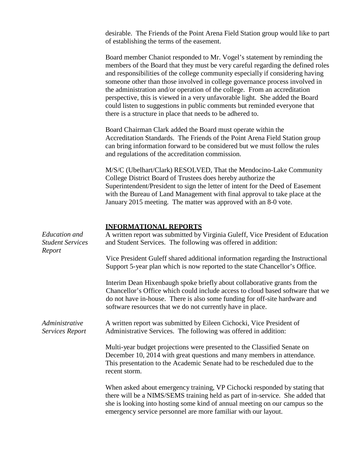desirable. The Friends of the Point Arena Field Station group would like to part of establishing the terms of the easement.

Board member Chaniot responded to Mr. Vogel's statement by reminding the members of the Board that they must be very careful regarding the defined roles and responsibilities of the college community especially if considering having someone other than those involved in college governance process involved in the administration and/or operation of the college. From an accreditation perspective, this is viewed in a very unfavorable light. She added the Board could listen to suggestions in public comments but reminded everyone that there is a structure in place that needs to be adhered to.

Board Chairman Clark added the Board must operate within the Accreditation Standards. The Friends of the Point Arena Field Station group can bring information forward to be considered but we must follow the rules and regulations of the accreditation commission.

M/S/C (Ubelhart/Clark) RESOLVED, That the Mendocino-Lake Community College District Board of Trustees does hereby authorize the Superintendent/President to sign the letter of intent for the Deed of Easement with the Bureau of Land Management with final approval to take place at the January 2015 meeting. The matter was approved with an 8-0 vote.

#### **INFORMATIONAL REPORTS**

| Education and<br><b>Student Services</b><br>Report | INFUKMA HUNAL KEFUKTS<br>A written report was submitted by Virginia Guleff, Vice President of Education<br>and Student Services. The following was offered in addition:                                                                                                                                       |  |  |
|----------------------------------------------------|---------------------------------------------------------------------------------------------------------------------------------------------------------------------------------------------------------------------------------------------------------------------------------------------------------------|--|--|
|                                                    | Vice President Guleff shared additional information regarding the Instructional<br>Support 5-year plan which is now reported to the state Chancellor's Office.                                                                                                                                                |  |  |
|                                                    | Interim Dean Hixenbaugh spoke briefly about collaborative grants from the<br>Chancellor's Office which could include access to cloud based software that we<br>do not have in-house. There is also some funding for off-site hardware and<br>software resources that we do not currently have in place.       |  |  |
| Administrative<br>Services Report                  | A written report was submitted by Eileen Cichocki, Vice President of<br>Administrative Services. The following was offered in addition:                                                                                                                                                                       |  |  |
|                                                    | Multi-year budget projections were presented to the Classified Senate on<br>December 10, 2014 with great questions and many members in attendance.<br>This presentation to the Academic Senate had to be rescheduled due to the<br>recent storm.                                                              |  |  |
|                                                    | When asked about emergency training, VP Cichocki responded by stating that<br>there will be a NIMS/SEMS training held as part of in-service. She added that<br>she is looking into hosting some kind of annual meeting on our campus so the<br>emergency service personnel are more familiar with our layout. |  |  |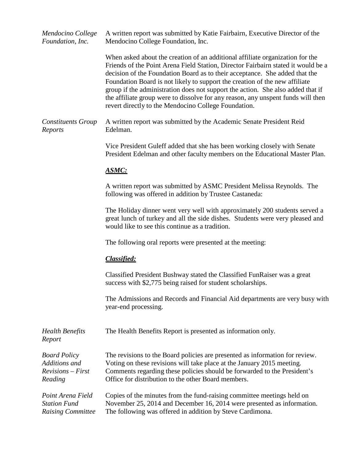| Mendocino College<br>Foundation, Inc.                                  | A written report was submitted by Katie Fairbairn, Executive Director of the<br>Mendocino College Foundation, Inc.                                                                                                                                                                                                                                                                                                                                                                                                                                              |
|------------------------------------------------------------------------|-----------------------------------------------------------------------------------------------------------------------------------------------------------------------------------------------------------------------------------------------------------------------------------------------------------------------------------------------------------------------------------------------------------------------------------------------------------------------------------------------------------------------------------------------------------------|
|                                                                        | When asked about the creation of an additional affiliate organization for the<br>Friends of the Point Arena Field Station, Director Fairbairn stated it would be a<br>decision of the Foundation Board as to their acceptance. She added that the<br>Foundation Board is not likely to support the creation of the new affiliate<br>group if the administration does not support the action. She also added that if<br>the affiliate group were to dissolve for any reason, any unspent funds will then<br>revert directly to the Mendocino College Foundation. |
| <b>Constituents Group</b><br>Reports                                   | A written report was submitted by the Academic Senate President Reid<br>Edelman.                                                                                                                                                                                                                                                                                                                                                                                                                                                                                |
|                                                                        | Vice President Guleff added that she has been working closely with Senate<br>President Edelman and other faculty members on the Educational Master Plan.                                                                                                                                                                                                                                                                                                                                                                                                        |
|                                                                        | <b>ASMC:</b>                                                                                                                                                                                                                                                                                                                                                                                                                                                                                                                                                    |
|                                                                        | A written report was submitted by ASMC President Melissa Reynolds. The<br>following was offered in addition by Trustee Castaneda:                                                                                                                                                                                                                                                                                                                                                                                                                               |
|                                                                        | The Holiday dinner went very well with approximately 200 students served a<br>great lunch of turkey and all the side dishes. Students were very pleased and<br>would like to see this continue as a tradition.                                                                                                                                                                                                                                                                                                                                                  |
|                                                                        | The following oral reports were presented at the meeting:                                                                                                                                                                                                                                                                                                                                                                                                                                                                                                       |
|                                                                        | Classified:                                                                                                                                                                                                                                                                                                                                                                                                                                                                                                                                                     |
|                                                                        | Classified President Bushway stated the Classified FunRaiser was a great<br>success with \$2,775 being raised for student scholarships.                                                                                                                                                                                                                                                                                                                                                                                                                         |
|                                                                        | The Admissions and Records and Financial Aid departments are very busy with<br>year-end processing.                                                                                                                                                                                                                                                                                                                                                                                                                                                             |
| <b>Health Benefits</b><br>Report                                       | The Health Benefits Report is presented as information only.                                                                                                                                                                                                                                                                                                                                                                                                                                                                                                    |
| <b>Board Policy</b><br>Additions and<br>$Revisions - First$<br>Reading | The revisions to the Board policies are presented as information for review.<br>Voting on these revisions will take place at the January 2015 meeting.<br>Comments regarding these policies should be forwarded to the President's<br>Office for distribution to the other Board members.                                                                                                                                                                                                                                                                       |
| Point Arena Field<br><b>Station Fund</b><br><b>Raising Committee</b>   | Copies of the minutes from the fund-raising committee meetings held on<br>November 25, 2014 and December 16, 2014 were presented as information.<br>The following was offered in addition by Steve Cardimona.                                                                                                                                                                                                                                                                                                                                                   |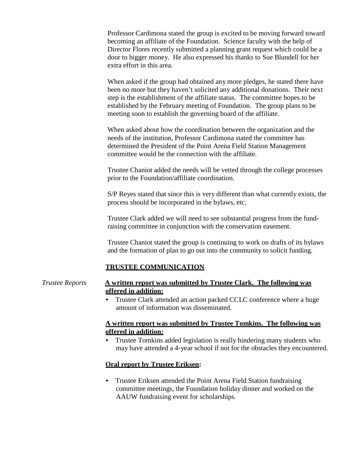Professor Cardimona stated the group is excited to be moving forward toward becoming an affiliate of the Foundation. Science faculty with the help of Director Flores recently submitted a planning grant request which could be a door to bigger money. He also expressed his thanks to Sue Blundell for her extra effort in this area.

When asked if the group had obtained any more pledges, he stated there have been no more but they haven't solicited any additional donations. Their next step is the establishment of the affiliate status. The committee hopes to be established by the February meeting of Foundation. The group plans to be meeting soon to establish the governing board of the affiliate.

When asked about how the coordination between the organization and the needs of the institution, Professor Cardimona stated the committee has determined the President of the Point Arena Field Station Management committee would be the connection with the affiliate.

Trustee Chaniot added the needs will be vetted through the college processes prior to the Foundation/affiliate coordination.

S/P Reyes stated that since this is very different than what currently exists, the process should be incorporated in the bylaws, etc.

Trustee Clark added we will need to see substantial progress from the fundraising committee in conjunction with the conservation easement.

Trustee Chaniot stated the group is continuing to work on drafts of its bylaws and the formation of plan to go out into the community to solicit funding.

#### **TRUSTEE COMMUNICATION**

#### *Trustee Reports* **A written report was submitted by Trustee Clark. The following was offered in addition:**

• Trustee Clark attended an action packed CCLC conference where a huge amount of information was disseminated.

#### **A written report was submitted by Trustee Tomkins. The following was offered in addition:**

• Trustee Tomkins added legislation is really hindering many students who may have attended a 4-year school if not for the obstacles they encountered.

#### **Oral report by Trustee Eriksen:**

• Trustee Eriksen attended the Point Arena Field Station fundraising committee meetings, the Foundation holiday dinner and worked on the AAUW fundraising event for scholarships.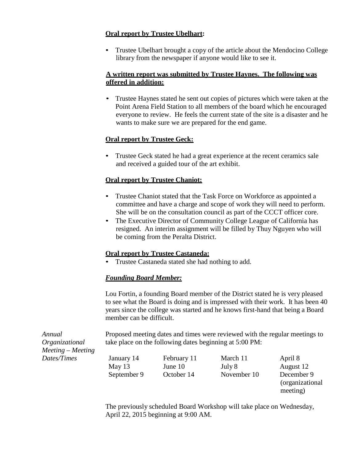## **Oral report by Trustee Ubelhart:**

• Trustee Ubelhart brought a copy of the article about the Mendocino College library from the newspaper if anyone would like to see it.

## **A written report was submitted by Trustee Haynes. The following was offered in addition:**

• Trustee Haynes stated he sent out copies of pictures which were taken at the Point Arena Field Station to all members of the board which he encouraged everyone to review. He feels the current state of the site is a disaster and he wants to make sure we are prepared for the end game.

# **Oral report by Trustee Geck:**

• Trustee Geck stated he had a great experience at the recent ceramics sale and received a guided tour of the art exhibit.

# **Oral report by Trustee Chaniot:**

- Trustee Chaniot stated that the Task Force on Workforce as appointed a committee and have a charge and scope of work they will need to perform. She will be on the consultation council as part of the CCCT officer core.
- The Executive Director of Community College League of California has resigned. An interim assignment will be filled by Thuy Nguyen who will be coming from the Peralta District.

## **Oral report by Trustee Castaneda:**

• Trustee Castaneda stated she had nothing to add.

## *Founding Board Member:*

Lou Fortin, a founding Board member of the District stated he is very pleased to see what the Board is doing and is impressed with their work. It has been 40 years since the college was started and he knows first-hand that being a Board member can be difficult.

Proposed meeting dates and times were reviewed with the regular meetings to take place on the following dates beginning at 5:00 PM:

*Annual Organizational Meeting – Meeting Dates/Times*

January 14 February 11 March 11 April 8 May 13 June 10 July 8 August 12

September 9 October 14 November 10 December 9

(organizational meeting)

The previously scheduled Board Workshop will take place on Wednesday, April 22, 2015 beginning at 9:00 AM.